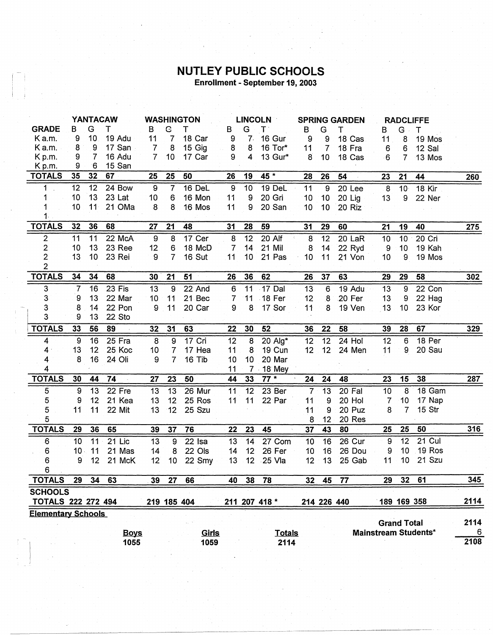## **NUTLEY PUBLIC SCHOOLS**<br>Enrollment - September 19, 2003

|                           | <b>YANTACAW</b> |    |          |                  | <b>WASHINGTON</b> |                     | <b>LINCOLN</b>   |                  | <b>SPRING GARDEN</b> |                 |                 | <b>RADCLIFFE</b> |                 |                    |                      |      |
|---------------------------|-----------------|----|----------|------------------|-------------------|---------------------|------------------|------------------|----------------------|-----------------|-----------------|------------------|-----------------|--------------------|----------------------|------|
| <b>GRADE</b>              | в               | G  | т        | B                | G                 | т                   | В                | G                | $T^+$                | $\mathbf{B}$    | G               | т                | B.              | $G$ .              | Τ                    |      |
| Ka.m.                     | 9               | 10 | 19 Adu   | 11               | 7                 | 18 Car              | 9                | 7.               | 16 Gur               | 9               | 9               | 18 Cas           | 11              | 8                  | 19 Mos               |      |
| K a.m.                    | 8               | 9  | 17 San   | 7                | 8                 | 15 Gig              | 8                | 8                | 16 Tor*              | 11              | $\overline{7}$  | 18 Fra           | 6               | 6                  | 12 Sal               |      |
| K p.m.                    | 9               | 7  | 16 Adu   | $\overline{7}$   | 10                | 17 Car              | 9                | $\overline{4}$   | 13 Gur*              | 8               | 10              | 18 Cas           | 6               | $\overline{7}$     | 13 Mos               |      |
| K <sub>p.m.</sub>         | 9               | 6  | 15 San   |                  |                   |                     |                  |                  |                      |                 |                 |                  |                 |                    |                      |      |
| <b>TOTALS</b>             | 35              | 32 | 67       | 25               | 25                | 50                  | 26               | 19               | 45 *                 | 28              | 26              | 54               | 23              | 21                 | 44                   | 260  |
| 1                         | $\overline{12}$ | 12 | 24 Bow   | $\overline{9}$   | $\overline{7}$    | 16 DeL              | $\boldsymbol{9}$ | 10               | 19 DeL               | 11              | $\overline{9}$  | 20 Lee           | $\bf 8$         | 10 <sup>1</sup>    | <b>18 Kir</b>        |      |
| 1                         | 10              | 13 | 23 Lat   | 10               | 6                 | 16 Mon              | 11               | $\boldsymbol{9}$ | 20 Gri               | 10              | 10              | 20 Lig           | 13              | 9                  | 22 Ner               |      |
|                           | 10              | 11 | 21 OMa   | 8                | 8                 | 16 Mos              | 11               | 9                | 20 San               | 10              | 10              | 20 Riz           |                 |                    |                      |      |
| 1.                        |                 |    |          |                  |                   |                     |                  |                  |                      |                 |                 |                  |                 |                    |                      |      |
| <b>TOTALS</b>             | 32              | 36 | 68       | 27               | 21                | 48                  | 31               | 28               | 59                   | 31              | 29              | 60               | 21              | 19                 | 40                   | 275  |
| $\overline{c}$            | 11              | 11 | 22 McA   | $\boldsymbol{9}$ | 8                 | 17 Cer              | 8                | 12               | 20 Alf               | 8               | 12              | 20 LaR           | 10              | 10 <sub>1</sub>    | 20 Cri               |      |
| $\overline{\mathbf{c}}$   | 10              | 13 | 23 Ree   | 12 <sub>1</sub>  | 6                 | 18 McD              | 7                | 14               | 21 Mil               | 8               | 14              | 22 Ryd           | 9               | 10                 | 19 Kah               |      |
| $\overline{c}$            | 13              | 10 | 23 Rei   | 9                | $\overline{7}$    | 16 Sut              | 11               | 10               | 21 Pas               | 10              | 11              | 21 Von           | 10              | 9                  | 19 Mos               |      |
| $\overline{2}$            |                 |    |          |                  |                   |                     |                  |                  |                      |                 |                 |                  |                 |                    |                      |      |
| <b>TOTALS</b>             | 34              | 34 | 68       | 30               | 21                | 51                  | 26               | 36               | 62                   | 26              | 37              | 63               | 29              | 29                 | 58                   | 302  |
| 3                         | $\overline{7}$  | 16 | 23 Fis   | 13               | 9                 | 22 And              | 6                | $\overline{11}$  | 17 Dal               | 13              | $6\phantom{1}6$ | 19 Adu           | 13              | 9                  | 22 Con               |      |
| 3                         | 9               | 13 | 22 Mar   | 10               | 11                | 21 Bec              | 7                | 11               | $-18$ Fer            | 12              | 8               | 20 Fer           | 13              | 9                  | 22 Hag               |      |
| 3                         | 8               | 14 | 22 Pon   | 9                | 11                | 20 Car              | 9                | 8                | 17 Sor               | 11              | 8               | 19 Ven           | 13              | 10                 | 23 Kor               |      |
| 3                         | 9               | 13 | 22 Sto   |                  |                   |                     |                  |                  |                      |                 |                 |                  |                 |                    |                      |      |
| <b>TOTALS</b>             | 33              | 56 | 89       | 32               | 31                | 63                  | 22               | 30               | 52                   | 36              | 22              | 58               | 39              | 28                 | 67                   | 329  |
| $\overline{\mathbf{4}}$   | 9               | 16 | $25$ Fra | 8                | $\overline{9}$    | $17$ Cri            | 12               | $\overline{8}$   | 20 Alg*              | $\overline{12}$ | $\overline{12}$ | $24$ Hol         | $\overline{12}$ | 6                  | 18 Per               |      |
| $\overline{4}$            | 13              | 12 | 25 Koc   | 10               | $\overline{7}$    | 17 Hea              | 11               | 8                | 19 Cun               | 12 <sub>2</sub> | 12 <sub>2</sub> | 24 Men           | 11              | 9                  | 20 Sau               |      |
| 4                         | 8               | 16 | 24 Oli   | 9                | $\overline{7}$    | 16 Tib              | 10               | 10               | 20 Mar               |                 |                 |                  |                 |                    |                      |      |
| 4                         |                 |    |          |                  |                   |                     | 11               | 7.5              | 18 Mey               |                 |                 |                  |                 |                    |                      |      |
| <b>TOTALS</b>             | 30              | 44 | 74       | 27               | 23                | 50                  | 44               | 33               | $77*$                | 24              | 24              | 48               | 23              | 15                 | 38                   | 287  |
| 5                         | $\overline{9}$  | 13 | 22 Fre   | 13               | 13                | 26 Mur              | 11               | 12               | 23 Ber               | $\overline{7}$  | 13              | 20 Fal           | 10              | 8                  | 18 Gam               |      |
| 5                         | 9               | 12 | 21 Kea   | 13               | 12                | 25 Ros              | 11               | 11               | 22 Par               | 11              | 9               | 20 Hol           | $\overline{7}$  | 10                 | 17 Nap               |      |
| 5                         | 11              | 11 | 22 Mit   | 13               | 12                | 25 Szu              |                  |                  |                      | 11              | 9               | 20 Puz           | 8               | 7                  | 15 Str               |      |
| 5                         |                 |    |          |                  |                   |                     |                  |                  |                      | 8               | 12              | 20 Res           |                 |                    |                      |      |
| <b>TOTALS</b>             | 29              | 36 | 65       | 39               | 37                | 76                  | 22               | 23               | 45                   | 37              | 43              | 80               | 25              | 25                 | 50                   | 316  |
| $6\phantom{a}$            | 10              | 11 | $21$ Lic | 13               | 9                 | $\overline{22}$ Isa | 13               | 14               | 27 Com               | 10              | $\overline{16}$ | 26 Cur           | 9               | $\overline{12}$    | 21 Cul               |      |
| 6                         | 10 <sub>1</sub> | 11 | 21 Mas   | 14               | 8                 | 22 Ols              | 14               | 12 <sup>°</sup>  | 26 Fer               | 10              | 16              | 26 Dou           | 9               | 10                 | 19 Ros               |      |
| 6                         | 9               | 12 | 21 McK   | 12               | 10                | 22 Smy              | 13               | 12 <sub>2</sub>  | 25 Vla               | 12              | 13              | 25 Gab           | 11              | 10                 | 21 Szu               |      |
| 6                         |                 |    |          |                  |                   |                     |                  |                  |                      |                 |                 |                  |                 |                    |                      |      |
| <b>TOTALS</b>             | 29              | 34 | 63       | 39               | 27                | 66                  | 40               | 38               | 78                   | 32 <sub>1</sub> | 45              | 77               | 29              |                    | 32 61                | 345  |
| <b>SCHOOLS</b>            |                 |    |          |                  |                   |                     |                  |                  |                      |                 |                 |                  |                 |                    |                      |      |
| <b>TOTALS 222 272 494</b> |                 |    |          |                  |                   | 219 185 404         |                  |                  | 211 207 418 *        |                 | 214 226 440     |                  |                 |                    | 189 169 358          | 2114 |
| <b>Elementary Schools</b> |                 |    |          |                  |                   |                     |                  |                  |                      |                 |                 |                  |                 |                    |                      |      |
|                           |                 |    |          |                  |                   |                     |                  |                  |                      |                 |                 |                  |                 | <b>Grand Total</b> |                      | 2114 |
|                           |                 |    |          | <b>Boys</b>      |                   | Girls               |                  |                  | <b>Totals</b>        |                 |                 |                  |                 |                    | Mainstream Students* | 6    |
|                           |                 |    | 1055     |                  |                   | 1059                |                  |                  | 2114                 |                 |                 |                  |                 |                    |                      | 2108 |